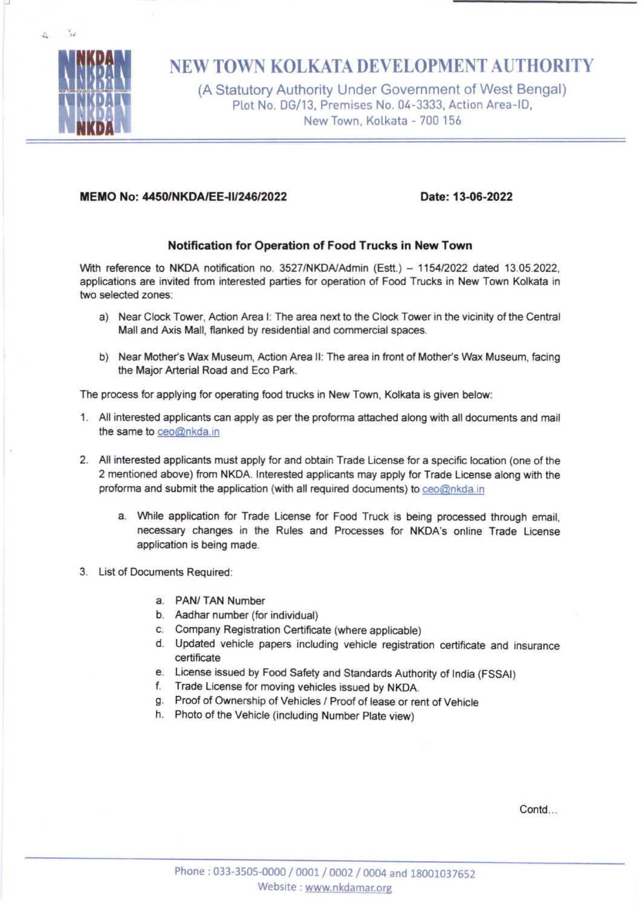

 $\frac{1}{16}$  $\mathcal{L}_{\mathbf{r}}$ 

J

# NEW TOWN KOLKATA DEVELOPMENT AUTHORJTY

(A Statutory Authority Under Government of West Bengal) Plot No. DG/13, Premises No. 04-3333, Action Area-ID, New Town, Kolkata - 700 156

## MEMO No: 4450/NKDA/EE -1U24612O22 Date: 13-06-2022

## Notification for Operation of Food Trucks in New Town

With reference to NKDA notification no. 3527/NKDA/Admin (Estt.) - 1154/2022 dated 13.05.2022, applications are invited from interested parties for operation of Food Trucks in New Town Kolkata in two selected zones:

- a) Near Clock Tower, Action Area I: The area next to the Clock Tower in the vicinity of the Central Mall and Axis Mall, flanked by residential and commercial spaces.
- b) Near Mother's Wax Museum, Action Area II: The area in front of Mother's Wax Museum, facing the Major Arterial Road and Eco Park.

The process for applying for operating food trucks in New Town, Kolkata is given below:

- 1. All interested applicants can apply as per the proforma attached along with all documents and mail the same to ceo@nkda.in
- 2. All interested applicants must apply for and obtain Trade License for a specific location (one of the 2 mentioned above) ftom NKOA. lnterested applicants may apply for Trade License along with the proforma and submit the application (with all required documents) to ceo@nkda.in
	- a. While application for Trade License for Food Truck is being processed through email, necessary changes in the Rules and Processes for NKDA's online Trade License application is being made.
- 3. List of Documents Required:
	- a. PAN/ TAN Number
	- b. Aadhar number (for individual)
	- c. Company Registration Certificate (where applicable)
	- d. Updated vehicle papers including vehicle registration certificate and insurance certificate
	- e. License issued by Food Safety and Standards Authority of India (FSSAI) f. Trade License for moving vehicles issued by NKDA.
	-
	- g. Proof of Ownership of Vehicles / Proof of lease or rent of Vehicle h. Photo of the Vehicle (including Number Plate view)
	-

Contd<sub>...</sub>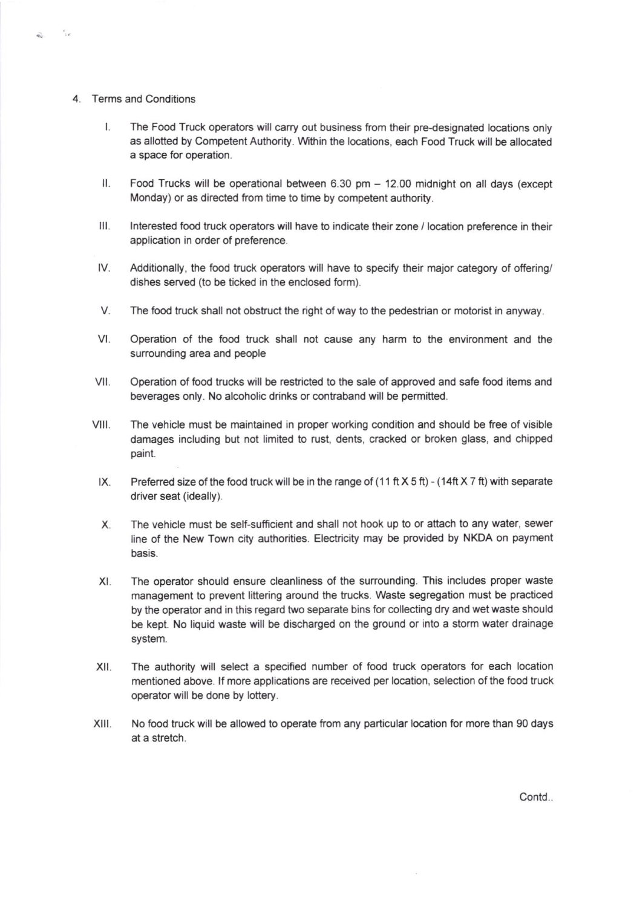4. Terms and Conditions

 $\tau_{\rm eff}$ 

S.

- $\mathsf{I}$ . The Food Truck operators will carry out business from their pre-designated locations only as allotted by Competent Authority. Within the locations, each Food Truck will be allocated a space for operation.
- $\mathsf{II}$ . Food Trucks will be operational between 6.30 pm - 12.00 midnight on all days (except Monday) or as directed from time to time by competent authority.
- Interested food truck operators will have to indicate their zone / location preference in their application in order of preference. lll.
- Additionally, the food truck operators will have to specify their major category of offering/ dishes served (to be ticked in the enclosed form). tv.
- V. The food truck shall not obstruct the right of way to the pedestrian or motorist in anyway.
- Operation of the food truck shall not cause any harm to the environment and the surrounding area and people vt.
- Operation of food trucks will be restricted to the sale of approved and safe food items and beverages only. No alcoholic drinks or contraband will be permitted. vil.
- The vehicle must be maintained in proper working condition and should be free of visible damages including but not limited to rust, dents, cracked or broken glass, and chipped paint. vilt.
	- Preferred size of the food truck will be in the range of (11 ft  $X$  5 ft) (14ft  $X$  7 ft) with separate driver seat (ideally).  $IX.$
	- The vehicle must be self-sufficient and shall not hook up to or attach to any water, sewer line of the New Town city authorities. Electricity may be provided by NKDA on payment basis. x
	- XI. The operator should ensure cleanliness of the surrounding. This includes proper waste management to prevent littering around the trucks. Waste segregation must be practiced by the operator and in this regard two separate bins for collecting dry and wet waste should be kept. No liquid waste will be discharged on the ground or into a storm water drainage system.
- XII. The authority will select a specified number of food truck operators for each location mentioned above. If more applications are received per location, selection of the food truck operator will be done by lottery.
- XIII. No food truck will be allowed to operate from any particular location for more than 90 days at a stretch.

Contd..